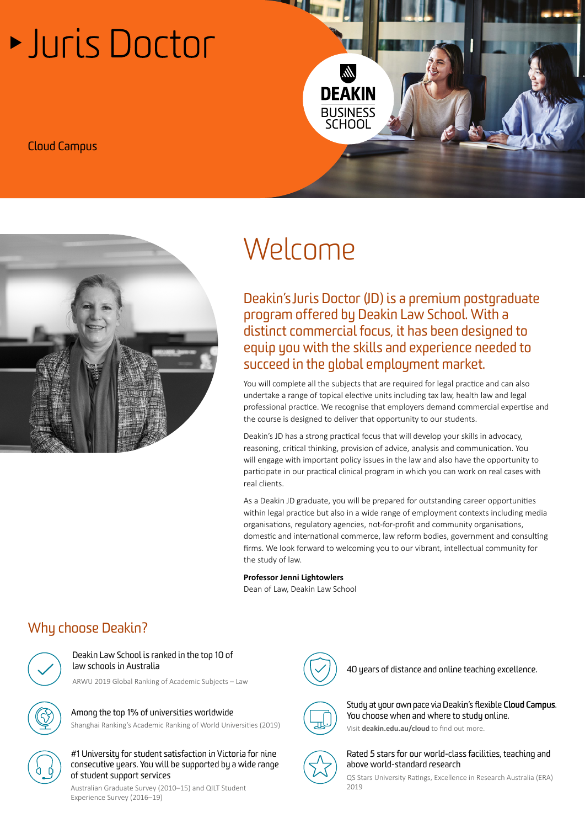# Luris Doctor







# Welcome

Deakin's Juris Doctor (JD) is a premium postgraduate program offered by Deakin Law School. With a distinct commercial focus, it has been designed to equip you with the skills and experience needed to succeed in the global employment market.

You will complete all the subjects that are required for legal practice and can also undertake a range of topical elective units including tax law, health law and legal professional practice. We recognise that employers demand commercial expertise and the course is designed to deliver that opportunity to our students.

Deakin's JD has a strong practical focus that will develop your skills in advocacy, reasoning, critical thinking, provision of advice, analysis and communication. You will engage with important policy issues in the law and also have the opportunity to participate in our practical clinical program in which you can work on real cases with real clients.

As a Deakin JD graduate, you will be prepared for outstanding career opportunities within legal practice but also in a wide range of employment contexts including media organisations, regulatory agencies, not-for-profit and community organisations, domestic and international commerce, law reform bodies, government and consulting firms. We look forward to welcoming you to our vibrant, intellectual community for the study of law.

#### **Professor Jenni Lightowlers**

Dean of Law, Deakin Law School

# Why choose Deakin?



#### Deakin Law School is ranked in the top 10 of law schools in Australia

ARWU 2019 Global Ranking of Academic Subjects – Law

Among the top 1% of universities worldwide Shanghai Ranking's Academic Ranking of World Universities (2019)



#### #1 University for student satisfaction in Victoria for nine consecutive years. You will be supported by a wide range of student support services

Australian Graduate Survey (2010–15) and QILT Student Experience Survey (2016–19)



40 years of distance and online teaching excellence.



Study at your own pace via Deakin's flexible **[Cloud Campus](http://deakin.edu.au/cloud)**. You choose when and where to study online. Visit **[deakin.edu.au/cloud](https://deakin.edu.au/cloud)** to find out more.



Rated 5 stars for our world-class facilities, teaching and above world-standard research

QS Stars University Ratings, Excellence in Research Australia (ERA) 2019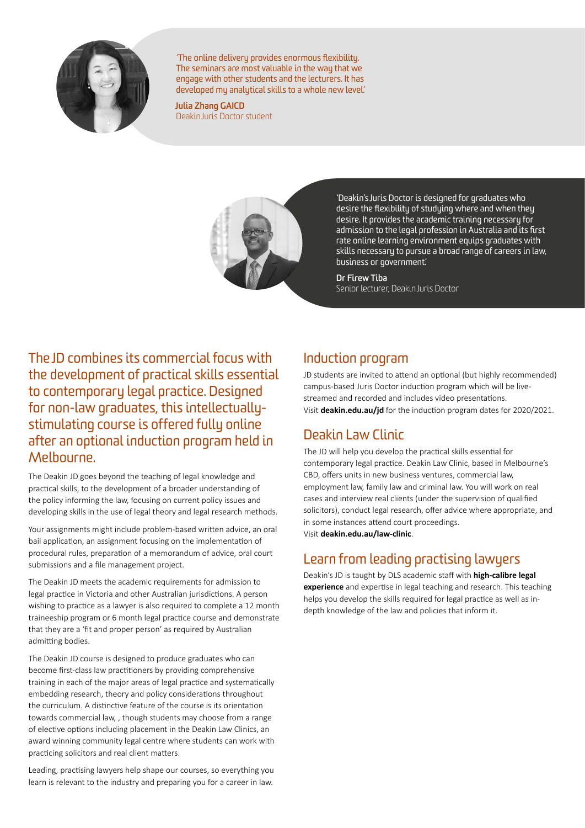

'The online delivery provides enormous flexibility. The seminars are most valuable in the way that we engage with other students and the lecturers. It has developed my analytical skills to a whole new level.'

**Julia Zhang GAICD** Deakin Juris Doctor student



'Deakin's Juris Doctor is designed for graduates who desire the flexibility of studying where and when they desire. It provides the academic training necessary for admission to the legal profession in Australia and its first rate online learning environment equips graduates with skills necessary to pursue a broad range of careers in law, business or government.'

#### **Dr Firew Tiba**

Senior lecturer, Deakin Juris Doctor

The JD combines its commercial focus with the development of practical skills essential to contemporary legal practice. Designed for non-law graduates, this intellectuallystimulating course is offered fully online after an optional induction program held in Melbourne.

The Deakin JD goes beyond the teaching of legal knowledge and practical skills, to the development of a broader understanding of the policy informing the law, focusing on current policy issues and developing skills in the use of legal theory and legal research methods.

Your assignments might include problem-based written advice, an oral bail application, an assignment focusing on the implementation of procedural rules, preparation of a memorandum of advice, oral court submissions and a file management project.

The Deakin JD meets the academic requirements for admission to legal practice in Victoria and other Australian jurisdictions. A person wishing to practice as a lawyer is also required to complete a 12 month traineeship program or 6 month legal practice course and demonstrate that they are a 'fit and proper person' as required by Australian admitting bodies.

The Deakin JD course is designed to produce graduates who can become first-class law practitioners by providing comprehensive training in each of the major areas of legal practice and systematically embedding research, theory and policy considerations throughout the curriculum. A distinctive feature of the course is its orientation towards commercial law, , though students may choose from a range of elective options including placement in the Deakin Law Clinics, an award winning community legal centre where students can work with practicing solicitors and real client matters.

Leading, practising lawyers help shape our courses, so everything you learn is relevant to the industry and preparing you for a career in law.

#### Induction program

JD students are invited to attend an optional (but highly recommended) campus-based Juris Doctor induction program which will be livestreamed and recorded and includes video presentations. Visit **[deakin.edu.au/jd](http://deakin.edu.au/jd)** for the induction program dates for 2020/2021.

#### Deakin Law Clinic

The JD will help you develop the practical skills essential for contemporary legal practice. Deakin Law Clinic, based in Melbourne's CBD, offers units in new business ventures, commercial law, employment law, family law and criminal law. You will work on real cases and interview real clients (under the supervision of qualified solicitors), conduct legal research, offer advice where appropriate, and in some instances attend court proceedings. Visit **[deakin.edu.au/law-clinic](http://deakin.edu.au/law-clinic)**.

#### Learn from leading practising lawyers

Deakin's JD is taught by DLS academic staff with **[high-calibre legal](https://lawnewsroom.deakin.edu.au/articles/felicity-gerry-qc-australian-barrister-of-the-year)  [experience](https://lawnewsroom.deakin.edu.au/articles/felicity-gerry-qc-australian-barrister-of-the-year)** and expertise in legal teaching and research. This teaching helps you develop the skills required for legal practice as well as indepth knowledge of the law and policies that inform it.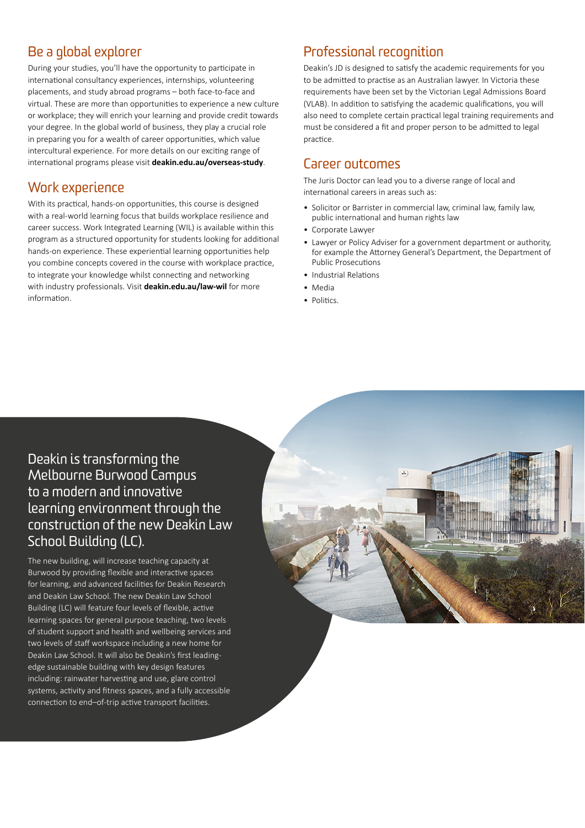### Be a global explorer

During your studies, you'll have the opportunity to participate in international consultancy experiences, internships, volunteering placements, and study abroad programs – both face-to-face and virtual. These are more than opportunities to experience a new culture or workplace; they will enrich your learning and provide credit towards your degree. In the global world of business, they play a crucial role in preparing you for a wealth of career opportunities, which value intercultural experience. For more details on our exciting range of international programs please visit **[deakin.edu.au/overseas-study](http://deakin.edu.au/overseas-study)**.

#### Work experience

With its practical, hands-on opportunities, this course is designed with a real-world learning focus that builds workplace resilience and career success. Work Integrated Learning (WIL) is available within this program as a structured opportunity for students looking for additional hands-on experience. These experiential learning opportunities help you combine concepts covered in the course with workplace practice, to integrate your knowledge whilst connecting and networking with industry professionals. Visit **[deakin.edu.au/law-wil](http://deakin.edu.au/law-wil)** for more information.

# Professional recognition

Deakin's JD is designed to satisfy the academic requirements for you to be admitted to practise as an Australian lawyer. In Victoria these requirements have been set by the Victorian Legal Admissions Board (VLAB). In addition to satisfying the academic qualifications, you will also need to complete certain practical legal training requirements and must be considered a fit and proper person to be admitted to legal practice.

#### Career outcomes

The Juris Doctor can lead you to a diverse range of local and international careers in areas such as:

- Solicitor or Barrister in commercial law, criminal law, family law, public international and human rights law
- Corporate Lawyer
- Lawyer or Policy Adviser for a government department or authority, for example the Attorney General's Department, the Department of Public Prosecutions
- Industrial Relations
- Media
- Politics.

#### Deakin is transforming the Melbourne Burwood Campus to a modern and innovative learning environment through the construction of the new Deakin Law School Building (LC).

The new building, will increase teaching capacity at Burwood by providing flexible and interactive spaces for learning, and advanced facilities for Deakin Research and Deakin Law School. The new Deakin Law School Building (LC) will feature four levels of flexible, active learning spaces for general purpose teaching, two levels of student support and health and wellbeing services and two levels of staff workspace including a new home for Deakin Law School. It will also be Deakin's first leadingedge sustainable building with key design features including: rainwater harvesting and use, glare control systems, activity and fitness spaces, and a fully accessible connection to end–of-trip active transport facilities.